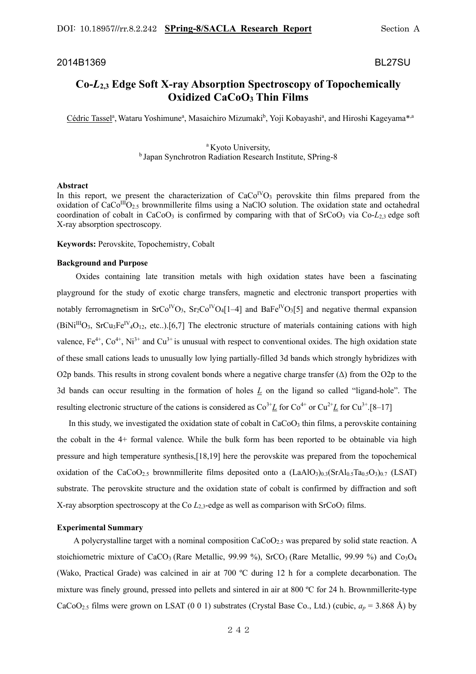## 2014B1369 BL27SU

# **Co-***L***2,3 Edge Soft X-ray Absorption Spectroscopy of Topochemically Oxidized CaCoO3 Thin Films**

Cédric Tassel<sup>a</sup>, Wataru Yoshimune<sup>a</sup>, Masaichiro Mizumaki<sup>b</sup>, Yoji Kobayashi<sup>a</sup>, and Hiroshi Kageyama<sup>\*,a</sup>

# <sup>a</sup> Kyoto University, b Japan Synchrotron Radiation Research Institute, SPring-8

#### **Abstract**

In this report, we present the characterization of  $CaCo<sup>IV</sup>O<sub>3</sub>$  perovskite thin films prepared from the oxidation of  $CaCo<sup>III</sup>O<sub>2.5</sub>$  brownmillerite films using a NaClO solution. The oxidation state and octahedral coordination of cobalt in CaCoO<sub>3</sub> is confirmed by comparing with that of  $SrCoO<sub>3</sub>$  via Co- $L<sub>23</sub>$  edge soft X-ray absorption spectroscopy.

**Keywords:** Perovskite, Topochemistry, Cobalt

## **Background and Purpose**

 Oxides containing late transition metals with high oxidation states have been a fascinating playground for the study of exotic charge transfers, magnetic and electronic transport properties with notably ferromagnetism in  $SrCo<sup>IV</sup>O<sub>3</sub>$ ,  $Sr<sub>2</sub>Co<sup>IV</sup>O<sub>4</sub>[1–4]$  and  $BaFe<sup>IV</sup>O<sub>3</sub>[5]$  and negative thermal expansion  $(BiNi<sup>III</sup>O<sub>3</sub>, SrCu<sub>3</sub>Fe<sup>IV</sup><sub>4</sub>O<sub>12</sub>, etc.).$  [6,7] The electronic structure of materials containing cations with high valence,  $Fe^{4+}$ ,  $Co^{4+}$ ,  $Ni^{3+}$  and  $Cu^{3+}$  is unusual with respect to conventional oxides. The high oxidation state of these small cations leads to unusually low lying partially-filled 3d bands which strongly hybridizes with O2p bands. This results in strong covalent bonds where a negative charge transfer  $(\Delta)$  from the O2p to the 3d bands can occur resulting in the formation of holes *L* on the ligand so called "ligand-hole". The resulting electronic structure of the cations is considered as  $\text{Co}^{3+}L$  for  $\text{Co}^{4+}$  or  $\text{Cu}^{2+}L$  for  $\text{Cu}^{3+}$ .[8–17]

In this study, we investigated the oxidation state of cobalt in  $CaCo<sub>3</sub>$  thin films, a perovskite containing the cobalt in the 4+ formal valence. While the bulk form has been reported to be obtainable via high pressure and high temperature synthesis,[18,19] here the perovskite was prepared from the topochemical oxidation of the CaCoO<sub>2.5</sub> brownmillerite films deposited onto a  $(LaAlO<sub>3</sub>)<sub>0.3</sub>(SrAl<sub>0.5</sub>Co<sub>3</sub>)<sub>0.7</sub> (LSAT)$ substrate. The perovskite structure and the oxidation state of cobalt is confirmed by diffraction and soft X-ray absorption spectroscopy at the Co  $L_{2,3}$ -edge as well as comparison with SrCoO<sub>3</sub> films.

#### **Experimental Summary**

 A polycrystalline target with a nominal composition CaCoO2.5 was prepared by solid state reaction. A stoichiometric mixture of CaCO<sub>3</sub> (Rare Metallic, 99.99 %), SrCO<sub>3</sub> (Rare Metallic, 99.99 %) and Co<sub>3</sub>O<sub>4</sub> (Wako, Practical Grade) was calcined in air at 700 ºC during 12 h for a complete decarbonation. The mixture was finely ground, pressed into pellets and sintered in air at 800 ºC for 24 h. Brownmillerite-type CaCoO<sub>2.5</sub> films were grown on LSAT (0 0 1) substrates (Crystal Base Co., Ltd.) (cubic,  $a_p = 3.868$  Å) by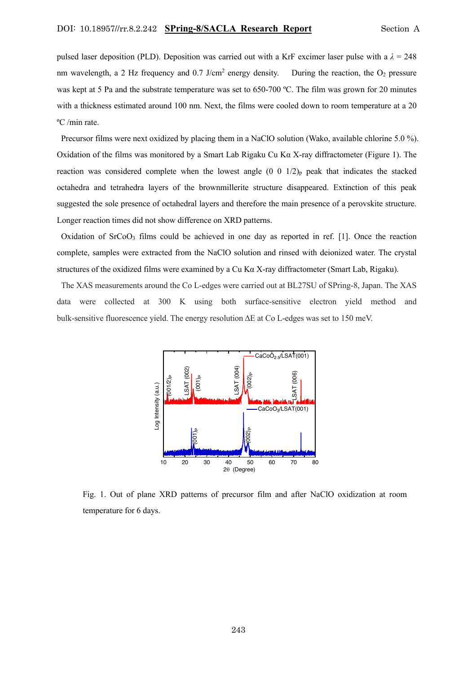pulsed laser deposition (PLD). Deposition was carried out with a KrF excimer laser pulse with a  $\lambda = 248$ nm wavelength, a 2 Hz frequency and  $0.7$  J/cm<sup>2</sup> energy density. During the reaction, the  $O_2$  pressure was kept at 5 Pa and the substrate temperature was set to 650-700 °C. The film was grown for 20 minutes with a thickness estimated around 100 nm. Next, the films were cooled down to room temperature at a 20 ºC /min rate.

Precursor films were next oxidized by placing them in a NaClO solution (Wako, available chlorine 5.0 %). Oxidation of the films was monitored by a Smart Lab Rigaku Cu K $\alpha$  X-ray diffractometer (Figure 1). The reaction was considered complete when the lowest angle  $(0\ 0\ 1/2)$ <sub>p</sub> peak that indicates the stacked octahedra and tetrahedra layers of the brownmillerite structure disappeared. Extinction of this peak suggested the sole presence of octahedral layers and therefore the main presence of a perovskite structure. Longer reaction times did not show difference on XRD patterns.

Oxidation of SrCoO3 films could be achieved in one day as reported in ref. [1]. Once the reaction complete, samples were extracted from the NaClO solution and rinsed with deionized water. The crystal structures of the oxidized films were examined by a Cu Kα X-ray diffractometer (Smart Lab, Rigaku).

The XAS measurements around the Co L-edges were carried out at BL27SU of SPring-8, Japan. The XAS data were collected at 300 K using both surface-sensitive electron yield method and bulk-sensitive fluorescence yield. The energy resolution ΔE at Co L-edges was set to 150 meV.



Fig. 1. Out of plane XRD patterns of precursor film and after NaClO oxidization at room temperature for 6 days.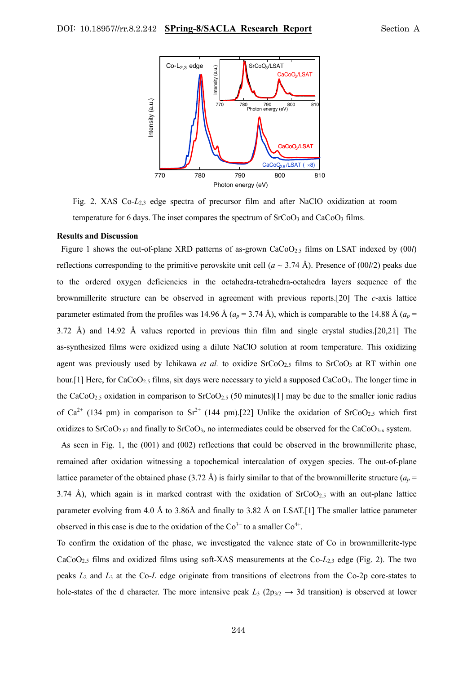

Fig. 2. XAS Co-*L*2,3 edge spectra of precursor film and after NaClO oxidization at room temperature for 6 days. The inset compares the spectrum of  $SrCoO<sub>3</sub>$  and  $CaCoO<sub>3</sub>$  films.

#### **Results and Discussion**

Figure 1 shows the out-of-plane XRD patterns of as-grown CaCoO2.5 films on LSAT indexed by (00*l*) reflections corresponding to the primitive perovskite unit cell  $(a \sim 3.74 \text{ Å})$ . Presence of (00*l*/2) peaks due to the ordered oxygen deficiencies in the octahedra-tetrahedra-octahedra layers sequence of the brownmillerite structure can be observed in agreement with previous reports.[20] The *c*-axis lattice parameter estimated from the profiles was 14.96 Å ( $a_p = 3.74$  Å), which is comparable to the 14.88 Å ( $a_p =$ 3.72 Å) and 14.92 Å values reported in previous thin film and single crystal studies.[20,21] The as-synthesized films were oxidized using a dilute NaClO solution at room temperature. This oxidizing agent was previously used by Ichikawa *et al.* to oxidize SrCoO<sub>2.5</sub> films to SrCoO<sub>3</sub> at RT within one hour.[1] Here, for CaCoO<sub>2.5</sub> films, six days were necessary to yield a supposed CaCoO<sub>3</sub>. The longer time in the CaCoO<sub>2.5</sub> oxidation in comparison to SrCoO<sub>2.5</sub> (50 minutes)[1] may be due to the smaller ionic radius of Ca<sup>2+</sup> (134 pm) in comparison to Sr<sup>2+</sup> (144 pm).[22] Unlike the oxidation of SrCoO<sub>2.5</sub> which first oxidizes to  $SrCoO<sub>2.87</sub>$  and finally to  $SrCoO<sub>3</sub>$ , no intermediates could be observed for the  $CaCoO<sub>3-x</sub>$  system. **hole-states of the diffuse of the diffuse of the d control intensity peak** *L***3 (2p3/2 → 3d transition) is observed at low-<br>The more interesting of the diffuse peak** *L***<sub>3</sub> (2p3/2 + 3d transition) is observed at lower in** 

As seen in Fig. 1, the (001) and (002) reflections that could be observed in the brownmillerite phase, remained after oxidation witnessing a topochemical intercalation of oxygen species. The out-of-plane lattice parameter of the obtained phase (3.72 Å) is fairly similar to that of the brownmillerite structure ( $a_p$  = 3.74 Å), which again is in marked contrast with the oxidation of  $SrCoO<sub>2.5</sub>$  with an out-plane lattice parameter evolving from 4.0 Å to 3.86Å and finally to 3.82 Å on LSAT.[1] The smaller lattice parameter observed in this case is due to the oxidation of the  $Co<sup>3+</sup>$  to a smaller  $Co<sup>4+</sup>$ .

To confirm the oxidation of the phase, we investigated the valence state of Co in brownmillerite-type CaCoO2.5 films and oxidized films using soft-XAS measurements at the Co-*L*2,3 edge (Fig. 2). The two peaks *L*<sup>2</sup> and *L*<sup>3</sup> at the Co-*L* edge originate from transitions of electrons from the Co-2p core-states to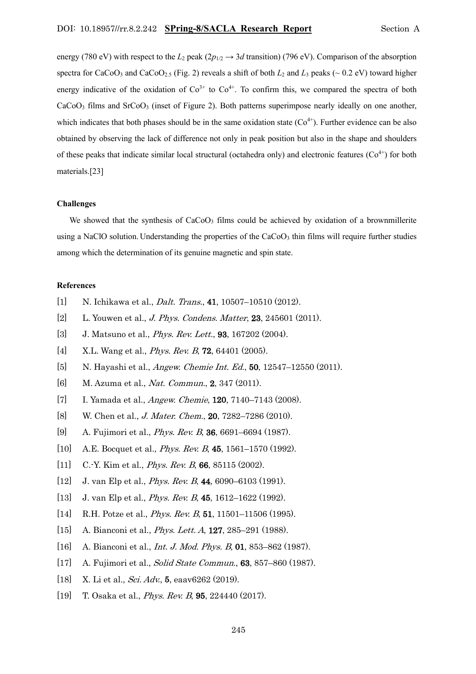energy (780 eV) with respect to the  $L_2$  peak ( $2p_{1/2} \rightarrow 3d$  transition) (796 eV). Comparison of the absorption spectra for CaCoO<sub>3</sub> and CaCoO<sub>2.5</sub> (Fig. 2) reveals a shift of both  $L_2$  and  $L_3$  peaks ( $\sim$  0.2 eV) toward higher energy indicative of the oxidation of  $Co<sup>3+</sup>$  to  $Co<sup>4+</sup>$ . To confirm this, we compared the spectra of both CaCoO<sub>3</sub> films and SrCoO<sub>3</sub> (inset of Figure 2). Both patterns superimpose nearly ideally on one another, which indicates that both phases should be in the same oxidation state  $(Co<sup>4+</sup>)$ . Further evidence can be also obtained by observing the lack of difference not only in peak position but also in the shape and shoulders of these peaks that indicate similar local structural (octahedra only) and electronic features  $(Co^{4+})$  for both materials.[23]

### **Challenges**

We showed that the synthesis of  $CaCoO<sub>3</sub>$  films could be achieved by oxidation of a brownmillerite using a NaClO solution. Understanding the properties of the  $CaCoO<sub>3</sub>$  thin films will require further studies among which the determination of its genuine magnetic and spin state.

# **References**

- [1] N. Ichikawa et al., *Dalt. Trans.*, **41**, 10507-10510 (2012).
- [2] L. Youwen et al., *J. Phys. Condens. Matter*, **23**, 245601 (2011).
- [3] J. Matsuno et al., *Phys. Rev. Lett.*, **93**, 167202 (2004).
- [4] X.L. Wang et al., *Phys. Rev. B*, **72**, 64401 (2005).
- [5] N. Hayashi et al., *Angew. Chemie Int. Ed.*, **50**, 12547–12550 (2011).
- [6] M. Azuma et al., Nat. Commun., 2, 347 (2011).
- [7] I. Yamada et al., *Angew. Chemie*, **120**, 7140–7143 (2008).
- [8] W. Chen et al., *J. Mater. Chem.*, **20**, 7282–7286 (2010).
- [9] A. Fujimori et al., Phys. Rev. B, 36, 6691–6694 (1987).
- [10] A.E. Bocquet et al., *Phys. Rev. B*, **45**, 1561–1570 (1992).
- [11] C.-Y. Kim et al., *Phys. Rev. B*, **66**, 85115 (2002).
- [12] J. van Elp et al., *Phys. Rev. B*, **44**, 6090–6103 (1991).
- [13] J. van Elp et al., *Phys. Rev. B*, **45**, 1612–1622 (1992).
- [14] R.H. Potze et al., *Phys. Rev. B*, **51**, 11501–11506 (1995).
- [15] A. Bianconi et al., *Phys. Lett. A*, **127**, 285–291 (1988).
- [16] A. Bianconi et al., *Int. J. Mod. Phys. B*, 01, 853–862 (1987).
- [17] A. Fujimori et al., *Solid State Commun.*, **63**, 857–860 (1987).
- [18] X. Li et al., Sci. Adv., 5, eaav6262 (2019).
- [19] T. Osaka et al., Phys. Rev. B, 95, 224440 (2017).